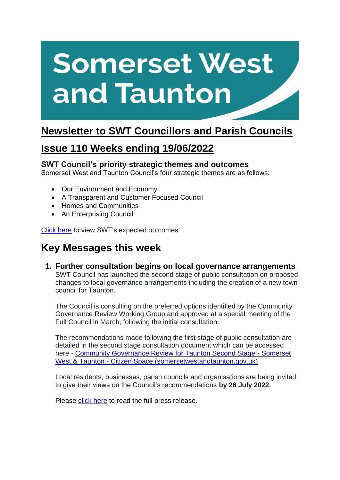# **Somerset West** and Taunton

# **Newsletter to SWT Councillors and Parish Councils**

# **Issue 110 Weeks ending 19/06/2022**

## **SWT Council's priority strategic themes and outcomes**

Somerset West and Taunton Council's four strategic themes are as follows:

- Our Environment and Economy
- A Transparent and Customer Focused Council
- Homes and Communities
- An Enterprising Council

[Click here](https://www.somersetwestandtaunton.gov.uk/your-council/corporate-strategy/) to view SWT's expected outcomes.

# **Key Messages this week**

**1. Further consultation begins on local governance arrangements** SWT Council has launched the second stage of public consultation on proposed changes to local governance arrangements including the creation of a new town council for Taunton.  

The Council is consulting on the preferred options identified by the Community Governance Review Working Group and approved at a special meeting of the Full Council in March, following the initial consultation.

The recommendations made following the first stage of public consultation are detailed in the second stage consultation document which can be accessed here - [Community Governance Review for Taunton Second Stage -](https://yoursay.somersetwestandtaunton.gov.uk/governance/cgr2/) Somerset West & Taunton - [Citizen Space \(somersetwestandtaunton.gov.uk\)](https://yoursay.somersetwestandtaunton.gov.uk/governance/cgr2/)

Local residents, businesses, parish councils and organisations are being invited to give their views on the Council's recommendations **by 26 July 2022.**

Please [click here](https://www.somersetwestandtaunton.gov.uk/news/further-consultation-begins-on-local-governance-arrangements/) to read the full press release.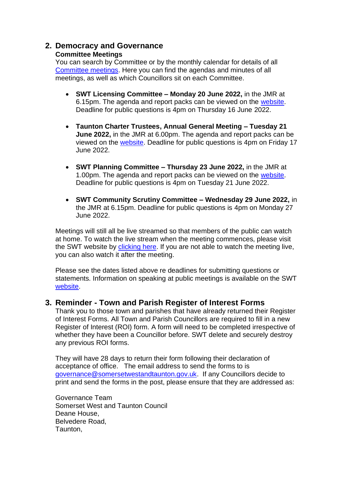## **2. Democracy and Governance**

#### **Committee Meetings**

You can search by Committee or by the monthly calendar for details of all [Committee meetings.](https://www.somersetwestandtaunton.gov.uk/your-council/council-meetings/) Here you can find the agendas and minutes of all meetings, as well as which Councillors sit on each Committee.

- **SWT Licensing Committee – Monday 20 June 2022,** in the JMR at 6.15pm. The agenda and report packs can be viewed on the [website.](https://democracy.somersetwestandtaunton.gov.uk/ieListDocuments.aspx?CId=329&MId=3033) Deadline for public questions is 4pm on Thursday 16 June 2022.
- **Taunton Charter Trustees, Annual General Meeting – Tuesday 21 June 2022,** in the JMR at 6.00pm. The agenda and report packs can be viewed on the [website.](https://democracy.somersetwestandtaunton.gov.uk/ieListDocuments.aspx?CId=405&MId=3137) Deadline for public questions is 4pm on Friday 17 June 2022.
- **SWT Planning Committee – Thursday 23 June 2022,** in the JMR at 1.00pm. The agenda and report packs can be viewed on the [website.](https://democracy.somersetwestandtaunton.gov.uk/ieListDocuments.aspx?CId=330&MId=3113) Deadline for public questions is 4pm on Tuesday 21 June 2022.
- **SWT Community Scrutiny Committee – Wednesday 29 June 2022,** in the JMR at 6.15pm. Deadline for public questions is 4pm on Monday 27 June 2022.

Meetings will still all be live streamed so that members of the public can watch at home. To watch the live stream when the meeting commences, please visit the SWT website by [clicking here.](https://democracy.somersetwestandtaunton.gov.uk/mgCalendarMonthView.aspx) If you are not able to watch the meeting live, you can also watch it after the meeting.

Please see the dates listed above re deadlines for submitting questions or statements. Information on speaking at public meetings is available on the SWT [website.](https://www.somersetwestandtaunton.gov.uk/your-council/speaking-at-a-council-meeting/)

## **3. Reminder - Town and Parish Register of Interest Forms**

Thank you to those town and parishes that have already returned their Register of Interest Forms. All Town and Parish Councillors are required to fill in a new Register of Interest (ROI) form. A form will need to be completed irrespective of whether they have been a Councillor before. SWT delete and securely destroy any previous ROI forms.

They will have 28 days to return their form following their declaration of acceptance of office. The email address to send the forms to is [governance@somersetwestandtaunton.gov.uk.](mailto:governance@somersetwestandtaunton.gov.uk) If any Councillors decide to print and send the forms in the post, please ensure that they are addressed as:

Governance Team Somerset West and Taunton Council Deane House, Belvedere Road, Taunton,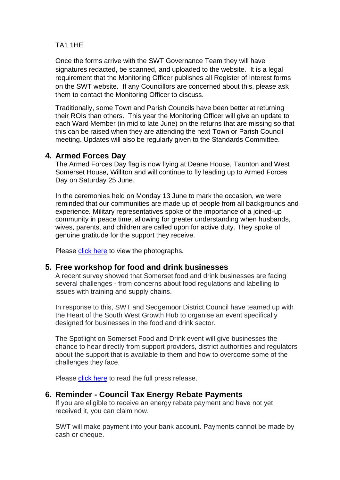#### TA1 1HE

Once the forms arrive with the SWT Governance Team they will have signatures redacted, be scanned, and uploaded to the website. It is a legal requirement that the Monitoring Officer publishes all Register of Interest forms on the SWT website. If any Councillors are concerned about this, please ask them to contact the Monitoring Officer to discuss.

Traditionally, some Town and Parish Councils have been better at returning their ROIs than others. This year the Monitoring Officer will give an update to each Ward Member (in mid to late June) on the returns that are missing so that this can be raised when they are attending the next Town or Parish Council meeting. Updates will also be regularly given to the Standards Committee.

## **4. Armed Forces Day**

The Armed Forces Day flag is now flying at Deane House, Taunton and West Somerset House, [Williton](https://www.facebook.com/hashtag/williton?__eep__=6&__cft__%5b0%5d=AZVgZZI18Y1cl66IiSNwrQ6w82uImCws-y_-mhjombANmV_r3vU0U79jAO_hlsfmTmEE0mVO3V-Vlrw7smTAKAvz7cAdfAEVZH2P4W6yumidrSIKN1yh-Mw2nBLgeBQbKelzDexq1By7Zvh67gwagQFjR7rE4fF3T7CE9PojUzitol0MoBYTIq4hJ8-w9Bn_ibA&__tn__=*NK-R) and will continue to fly leading up to [Armed](https://www.facebook.com/armedforcesday?__cft__%5b0%5d=AZVgZZI18Y1cl66IiSNwrQ6w82uImCws-y_-mhjombANmV_r3vU0U79jAO_hlsfmTmEE0mVO3V-Vlrw7smTAKAvz7cAdfAEVZH2P4W6yumidrSIKN1yh-Mw2nBLgeBQbKelzDexq1By7Zvh67gwagQFjR7rE4fF3T7CE9PojUzitol0MoBYTIq4hJ8-w9Bn_ibA&__tn__=-%5dK-R) Forces [Day](https://www.facebook.com/armedforcesday?__cft__%5b0%5d=AZVgZZI18Y1cl66IiSNwrQ6w82uImCws-y_-mhjombANmV_r3vU0U79jAO_hlsfmTmEE0mVO3V-Vlrw7smTAKAvz7cAdfAEVZH2P4W6yumidrSIKN1yh-Mw2nBLgeBQbKelzDexq1By7Zvh67gwagQFjR7rE4fF3T7CE9PojUzitol0MoBYTIq4hJ8-w9Bn_ibA&__tn__=-%5dK-R) on Saturday 25 June.

In the ceremonies held on Monday 13 June to mark the occasion, we were reminded that our communities are made up of people from all backgrounds and experience. Military representatives spoke of the importance of a joined-up community in peace time, allowing for greater understanding when husbands, wives, parents, and children are called upon for active duty. They spoke of genuine gratitude for the support they receive.

Please [click here](https://www.facebook.com/SWTCouncil/photos/pcb.5289484627741507/5289424484414188/) to view the photographs.

#### **5. Free workshop for food and drink businesses**

A recent survey showed that Somerset food and drink businesses are facing several challenges - from concerns about food regulations and labelling to issues with training and supply chains.

In response to this, SWT and Sedgemoor District Council have teamed up with the Heart of the South West Growth Hub to organise an event specifically designed for businesses in the food and drink sector.

The Spotlight on Somerset Food and Drink event will give businesses the chance to hear directly from support providers, district authorities and regulators about the support that is available to them and how to overcome some of the challenges they face.

Please [click here](https://www.somersetwestandtaunton.gov.uk/news/free-workshop-for-food-and-drink-businesses/) to read the full press release.

#### **6. Reminder - Council Tax Energy Rebate Payments**

If you are eligible to receive an energy rebate payment and have not yet received it, you can claim now.

SWT will make payment into your bank account. Payments cannot be made by cash or cheque.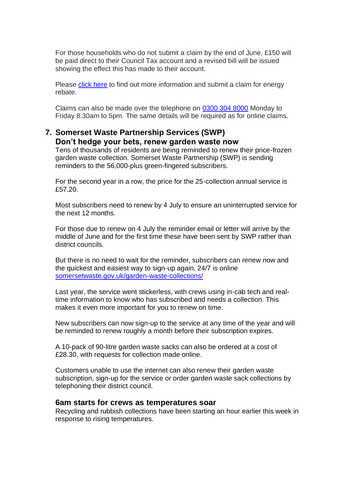For those households who do not submit a claim by the end of June, £150 will be paid direct to their Council Tax account and a revised bill will be issued showing the effect this has made to their account.

Please [click here](https://www.somersetwestandtaunton.gov.uk/council-tax/energy-support-payments/?fbclid=IwAR08cUQjDa5oBz1epvMZWu2m8-3FZakSZ2ObHxEM0UEB7AmH0invL1mzHiA) to find out more information and submit a claim for energy rebate.

Claims can also be made over the telephone on [0300 304 8000](tel:03003048000) Monday to Friday 8.30am to 5pm. The same details will be required as for online claims.

## **7. Somerset Waste Partnership Services (SWP) Don't hedge your bets, renew garden waste now**

Tens of thousands of residents are being reminded to renew their price-frozen garden waste collection. Somerset Waste Partnership (SWP) is sending reminders to the 56,000-plus green-fingered subscribers.

For the second year in a row, the price for the 25-collection annual service is £57.20.

Most subscribers need to renew by 4 July to ensure an uninterrupted service for the next 12 months.

For those due to renew on 4 July the reminder email or letter will arrive by the middle of June and for the first time these have been sent by SWP rather than district councils.

But there is no need to wait for the reminder, subscribers can renew now and the quickest and easiest way to sign-up again, 24/7 is online [somersetwaste.gov.uk/garden-waste-collections/](https://www.somersetwaste.gov.uk/garden-waste-collections/)

Last year, the service went stickerless, with crews using in-cab tech and realtime information to know who has subscribed and needs a collection. This makes it even more important for you to renew on time.

New subscribers can now sign-up to the service at any time of the year and will be reminded to renew roughly a month before their subscription expires.

A 10-pack of 90-litre garden waste sacks can also be ordered at a cost of £28.30, with requests for collection made online.

Customers unable to use the internet can also renew their garden waste subscription, sign-up for the service or order garden waste sack collections by telephoning their district council.

#### **6am starts for crews as temperatures soar**

Recycling and rubbish collections have been starting an hour earlier this week in response to rising temperatures.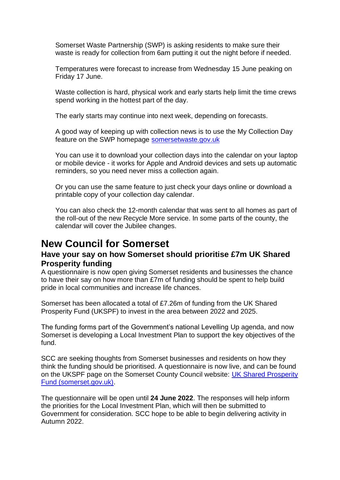Somerset Waste Partnership (SWP) is asking residents to make sure their waste is ready for collection from 6am putting it out the night before if needed.

Temperatures were forecast to increase from Wednesday 15 June peaking on Friday 17 June.

Waste collection is hard, physical work and early starts help limit the time crews spend working in the hottest part of the day.

The early starts may continue into next week, depending on forecasts.

A good way of keeping up with collection news is to use the My Collection Day feature on the SWP homepage [somersetwaste.gov.uk](https://www.somersetwaste.gov.uk/)

You can use it to download your collection days into the calendar on your laptop or mobile device - it works for Apple and Android devices and sets up automatic reminders, so you need never miss a collection again.

Or you can use the same feature to just check your days online or download a printable copy of your collection day calendar.

You can also check the 12-month calendar that was sent to all homes as part of the roll-out of the new Recycle More service. In some parts of the county, the calendar will cover the Jubilee changes.

## **New Council for Somerset**

## **Have your say on how Somerset should prioritise £7m UK Shared Prosperity funding**

A questionnaire is now open giving Somerset residents and businesses the chance to have their say on how more than £7m of funding should be spent to help build pride in local communities and increase life chances.

Somerset has been allocated a total of £7.26m of funding from the UK Shared Prosperity Fund (UKSPF) to invest in the area between 2022 and 2025.

The funding forms part of the Government's national Levelling Up agenda, and now Somerset is developing a Local Investment Plan to support the key objectives of the fund.

SCC are seeking thoughts from Somerset businesses and residents on how they think the funding should be prioritised. A questionnaire is now live, and can be found on the UKSPF page on the Somerset County Council website: [UK Shared Prosperity](https://eur01.safelinks.protection.outlook.com/?url=https%3A%2F%2Fwww.somerset.gov.uk%2Fbusiness-and-economy%2Fbusiness-support%2Fuk-shared-prosperity-fund%2F&data=05%7C01%7CSXSalter%40somerset.gov.uk%7Cc3136898be3e4762907308da4ade8f29%7Cb524f606f77a4aa28da2fe70343b0cce%7C0%7C0%7C637904616978673458%7CUnknown%7CTWFpbGZsb3d8eyJWIjoiMC4wLjAwMDAiLCJQIjoiV2luMzIiLCJBTiI6Ik1haWwiLCJXVCI6Mn0%3D%7C3000%7C%7C%7C&sdata=GTe1l56ev41eAuuGnKTegit9pXVZswDHh1BUXlFSMGE%3D&reserved=0)  [Fund \(somerset.gov.uk\).](https://eur01.safelinks.protection.outlook.com/?url=https%3A%2F%2Fwww.somerset.gov.uk%2Fbusiness-and-economy%2Fbusiness-support%2Fuk-shared-prosperity-fund%2F&data=05%7C01%7CSXSalter%40somerset.gov.uk%7Cc3136898be3e4762907308da4ade8f29%7Cb524f606f77a4aa28da2fe70343b0cce%7C0%7C0%7C637904616978673458%7CUnknown%7CTWFpbGZsb3d8eyJWIjoiMC4wLjAwMDAiLCJQIjoiV2luMzIiLCJBTiI6Ik1haWwiLCJXVCI6Mn0%3D%7C3000%7C%7C%7C&sdata=GTe1l56ev41eAuuGnKTegit9pXVZswDHh1BUXlFSMGE%3D&reserved=0)

The questionnaire will be open until **24 June 2022**. The responses will help inform the priorities for the Local Investment Plan, which will then be submitted to Government for consideration. SCC hope to be able to begin delivering activity in Autumn 2022.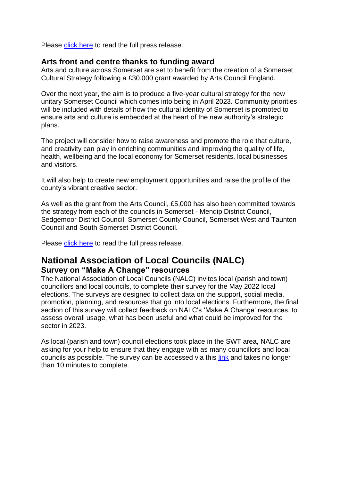Please [click here](https://somersetnewsroom.com/2022/06/16/have-your-say-on-how-somerset-should-prioritise-7m-uk-shared-prosperity-funding/) to read the full press release.

#### **Arts front and centre thanks to funding award**

Arts and culture across Somerset are set to benefit from the creation of a Somerset Cultural Strategy following a £30,000 grant awarded by Arts Council England.

Over the next year, the aim is to produce a five-year cultural strategy for the new unitary Somerset Council which comes into being in April 2023. Community priorities will be included with details of how the cultural identity of Somerset is promoted to ensure arts and culture is embedded at the heart of the new authority's strategic plans.

The project will consider how to raise awareness and promote the role that culture, and creativity can play in enriching communities and improving the quality of life, health, wellbeing and the local economy for Somerset residents, local businesses and visitors.

It will also help to create new employment opportunities and raise the profile of the county's vibrant creative sector.

As well as the grant from the Arts Council, £5,000 has also been committed towards the strategy from each of the councils in Somerset - Mendip District Council, Sedgemoor District Council, Somerset County Council, Somerset West and Taunton Council and South Somerset District Council.

Please [click here](https://newsomersetcouncil.org.uk/arts-front-and-centre-thanks-to-funding-award/) to read the full press release.

## **National Association of Local Councils (NALC)**

#### **Survey on "Make A Change" resources**

The National Association of Local Councils (NALC) invites local (parish and town) councillors and local councils, to complete their survey for the May 2022 local elections. The surveys are designed to collect data on the support, social media, promotion, planning, and resources that go into local elections. Furthermore, the final section of this survey will collect feedback on NALC's 'Make A Change' resources, to assess overall usage, what has been useful and what could be improved for the sector in 2023.

As local (parish and town) council elections took place in the SWT area, NALC are asking for your help to ensure that they engage with as many councillors and local councils as possible. The survey can be accessed via this [link](https://www.surveymonkey.co.uk/r/localelections2022) and takes no longer than 10 minutes to complete.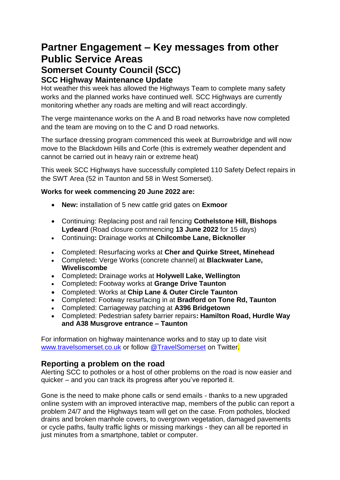## **Partner Engagement – Key messages from other Public Service Areas Somerset County Council (SCC) SCC Highway Maintenance Update**

Hot weather this week has allowed the Highways Team to complete many safety works and the planned works have continued well. SCC Highways are currently monitoring whether any roads are melting and will react accordingly.

The verge maintenance works on the A and B road networks have now completed and the team are moving on to the C and D road networks.

The surface dressing program commenced this week at Burrowbridge and will now move to the Blackdown Hills and Corfe (this is extremely weather dependent and cannot be carried out in heavy rain or extreme heat)

This week SCC Highways have successfully completed 110 Safety Defect repairs in the SWT Area (52 in Taunton and 58 in West Somerset).

#### **Works for week commencing 20 June 2022 are:**

- **New:** installation of 5 new cattle grid gates on **Exmoor**
- Continuing: Replacing post and rail fencing **Cothelstone Hill, Bishops Lydeard** (Road closure commencing **13 June 2022** for 15 days)
- Continuing**:** Drainage works at **Chilcombe Lane, Bicknoller**
- Completed: Resurfacing works at **Cher and Quirke Street, Minehead**
- Completed**:** Verge Works (concrete channel) at **Blackwater Lane, Wiveliscombe**
- Completed**:** Drainage works at **Holywell Lake, Wellington**
- Completed**:** Footway works at **Grange Drive Taunton**
- Completed: Works at **Chip Lane & Outer Circle Taunton**
- Completed: Footway resurfacing in at **Bradford on Tone Rd, Taunton**
- Completed: Carriageway patching at **A396 Bridgetown**
- Completed: Pedestrian safety barrier repairs**: Hamilton Road, Hurdle Way and A38 Musgrove entrance – Taunton**

For information on highway maintenance works and to stay up to date visit [www.travelsomerset.co.uk](http://www.travelsomerset.co.uk/) or follow [@TravelSomerset](https://twitter.com/search?q=%40TravelSomerset&src=recent_search_click) on Twitter.

## **Reporting a problem on the road**

Alerting SCC to potholes or a host of other problems on the road is now easier and quicker – and you can track its progress after you've reported it.

Gone is the need to make phone calls or send emails - thanks to a new upgraded online system with an improved interactive map, members of the public can report a problem 24/7 and the Highways team will get on the case. From potholes, blocked drains and broken manhole covers, to overgrown vegetation, damaged pavements or cycle paths, faulty traffic lights or missing markings - they can all be reported in just minutes from a smartphone, tablet or computer.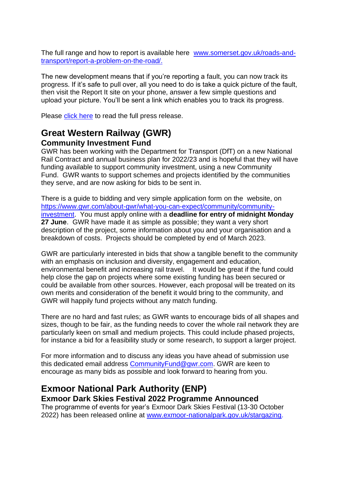The full range and how to report is available here [www.somerset.gov.uk/roads-and](http://www.somerset.gov.uk/roads-and-transport/report-a-problem-on-the-road/)[transport/report-a-problem-on-the-road/.](http://www.somerset.gov.uk/roads-and-transport/report-a-problem-on-the-road/)

The new development means that if you're reporting a fault, you can now track its progress. If it's safe to pull over, all you need to do is take a quick picture of the fault, then visit the Report It site on your phone, answer a few simple questions and upload your picture. You'll be sent a link which enables you to track its progress.

Please [click here](https://somersetnewsroom.com/2021/12/13/reporting-a-problem-on-the-road-is-now-a-hole-lot-easier/) to read the full press release.

## **Great Western Railway (GWR) Community Investment Fund**

GWR has been working with the Department for Transport (DfT) on a new National Rail Contract and annual business plan for 2022/23 and is hopeful that they will have funding available to support community investment, using a new Community Fund. GWR wants to support schemes and projects identified by the communities they serve, and are now asking for bids to be sent in.

There is a guide to bidding and very simple application form on the website, on [https://www.gwr.com/about-gwr/what-you-can-expect/community/community](https://www.gwr.com/about-gwr/what-you-can-expect/community/community-investment)[investment.](https://www.gwr.com/about-gwr/what-you-can-expect/community/community-investment) You must apply online with a **deadline for entry of midnight Monday 27 June**. GWR have made it as simple as possible; they want a very short description of the project, some information about you and your organisation and a breakdown of costs. Projects should be completed by end of March 2023.

GWR are particularly interested in bids that show a tangible benefit to the community with an emphasis on inclusion and diversity, engagement and education, environmental benefit and increasing rail travel. It would be great if the fund could help close the gap on projects where some existing funding has been secured or could be available from other sources. However, each proposal will be treated on its own merits and consideration of the benefit it would bring to the community, and GWR will happily fund projects without any match funding.

There are no hard and fast rules; as GWR wants to encourage bids of all shapes and sizes, though to be fair, as the funding needs to cover the whole rail network they are particularly keen on small and medium projects. This could include phased projects, for instance a bid for a feasibility study or some research, to support a larger project.

For more information and to discuss any ideas you have ahead of submission use this dedicated email address [CommunityFund@gwr.com.](mailto:CommunityFund@gwr.com) GWR are keen to encourage as many bids as possible and look forward to hearing from you.

## **Exmoor National Park Authority (ENP) Exmoor Dark Skies Festival 2022 Programme Announced**

The programme of events for year's Exmoor Dark Skies Festival (13-30 October 2022) has been released online at [www.exmoor-nationalpark.gov.uk/stargazing.](http://www.exmoor-nationalpark.gov.uk/stargazing)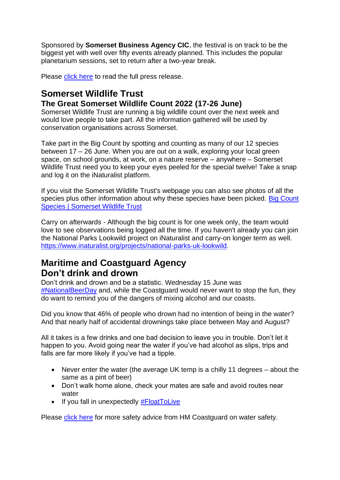Sponsored by **Somerset Business Agency CIC**, the festival is on track to be the biggest yet with well over fifty events already planned. This includes the popular planetarium sessions, set to return after a two-year break.

Please [click here](https://www.exmoor-nationalpark.gov.uk/about-us/press-room/press-room/news-2022/dark-skies-festival-2022-programme-announced) to read the full press release.

## **Somerset Wildlife Trust The Great Somerset Wildlife Count 2022 (17-26 June)**

Somerset Wildlife Trust are running a big wildlife count over the next week and would love people to take part. All the information gathered will be used by conservation organisations across Somerset.

Take part in the Big Count by spotting and counting as many of our 12 species between 17 – 26 June. When you are out on a walk, exploring your local green space, on school grounds, at work, on a nature reserve – anywhere – Somerset Wildlife Trust need you to keep your eyes peeled for the special twelve! Take a snap and log it on the iNaturalist platform.

If you visit the Somerset Wildlife Trust's webpage you can also see photos of all the species plus other information about why these species have been picked. Big Count [Species | Somerset Wildlife Trust](https://r20.rs6.net/tn.jsp?f=001qikg38NDP3l7gUqHdGBUTiB1Ce-wogYkNITreKT96w2_T-Uq8qbQDidrPYjy80mkmXP7BW9udfEqWuzV7dyhzexQRgkWgWb0Uc7x-oS-KsBtB3YLZlsq6yU8K3G30vv7qBLFh7djFf2VaMjuirzRjYFle2i3So1W5jVa6pt_6MgCE5aorG9KCUXY-lKeKO4ti6pHBCDcX2XbejuKmF1Xgkxd8j0LUdCV7X_Phc4IrJcegx1GU42sP08S_sf6yZs8&c=_q9gYjhNxudqtLrHAiuB92aTFIuUkg_Xn0lvWrL2xXDb959QM2shcQ==&ch=WSlC3ywf8eNjcIKmI2XYQwtkAWdhAdpVkoxDVFKWJ25kfdImXrqmGA==)

Carry on afterwards - Although the big count is for one week only, the team would love to see observations being logged all the time. If you haven't already you can join the National Parks Lookwild project on iNaturalist and carry-on longer term as well. [https://www.inaturalist.org/projects/national-parks-uk-lookwild.](https://www.inaturalist.org/projects/national-parks-uk-lookwild)

## **Maritime and Coastguard Agency Don't drink and drown**

Don't drink and drown and be a statistic. Wednesday 15 June was [#NationalBeerDay](https://www.facebook.com/hashtag/nationalbeerday?__eep__=6&__cft__%5b0%5d=AZUwctooDZ7_R0A7v0Pu49k52pV4OTs2K7TxoBWPA_AfPtPJ6hiik7YTtUkF08Whc74BZKc2KB6Gu2wSbHngpxkJOsLvxzXpo657MAEoOj-Gerk3ycAkgYjP9qoQ6Jj7l_6bZW3M7qPDPR7Qzor2bH281QcY12JIGzoibBFYgI6476y3cx05j3_8m17eyDU8BjDn3KcKo82NPjYY8hKkt7_w&__tn__=*NK-y-R) and, while the Coastguard would never want to stop the fun, they do want to remind you of the dangers of mixing alcohol and our coasts.

Did you know that 46% of people who drown had no intention of being in the water? And that nearly half of accidental drownings take place between May and August?

All it takes is a few drinks and one bad decision to leave you in trouble. Don't let it happen to you. Avoid going near the water if you've had alcohol as slips, trips and falls are far more likely if you've had a tipple.

- Never enter the water (the average UK temp is a chilly 11 degrees about the same as a pint of beer)
- Don't walk home alone, check your mates are safe and avoid routes near water
- $\bullet$  If you fall in unexpectedly  $\#$ FloatToLive

Please [click here](https://hmcoastguard.blogspot.com/2021/05/safety-spotlight-please-dont-be.html?fbclid=IwAR2OrkubQLnWv6Y4H4qU65BRl-TSB7Hu7S0C0wO_s2szr5tlDuTAgG3-KXY) for more safety advice from HM Coastguard on water safety.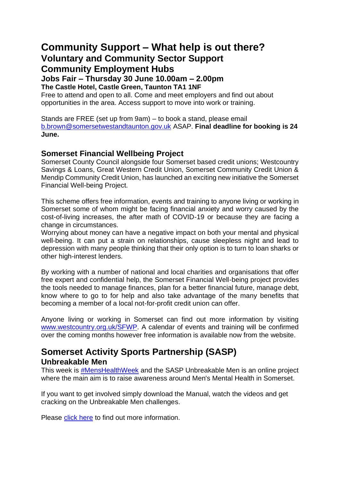## **Community Support – What help is out there? Voluntary and Community Sector Support Community Employment Hubs**

**Jobs Fair – Thursday 30 June 10.00am – 2.00pm**

**The Castle Hotel, Castle Green, Taunton TA1 1NF**

Free to attend and open to all. Come and meet employers and find out about opportunities in the area. Access support to move into work or training.

Stands are FREE (set up from 9am) – to book a stand, please email [b.brown@somersetwestandtaunton.gov.uk](mailto:b.brown@somersetwestandtaunton.gov.uk) ASAP. **Final deadline for booking is 24 June.**

## **Somerset Financial Wellbeing Project**

Somerset County Council alongside four Somerset based credit unions; Westcountry Savings & Loans, Great Western Credit Union, Somerset Community Credit Union & Mendip Community Credit Union, has launched an exciting new initiative the Somerset Financial Well-being Project.

This scheme offers free information, events and training to anyone living or working in Somerset some of whom might be facing financial anxiety and worry caused by the cost-of-living increases, the after math of COVID-19 or because they are facing a change in circumstances.

Worrying about money can have a negative impact on both your mental and physical well-being. It can put a strain on relationships, cause sleepless night and lead to depression with many people thinking that their only option is to turn to loan sharks or other high-interest lenders.

By working with a number of national and local charities and organisations that offer free expert and confidential help, the Somerset Financial Well-being project provides the tools needed to manage finances, plan for a better financial future, manage debt, know where to go to for help and also take advantage of the many benefits that becoming a member of a local not-for-profit credit union can offer.

Anyone living or working in Somerset can find out more information by visiting www.westcountry.org.uk/SFWP</u>. A calendar of events and training will be confirmed over the coming months however free information is available now from the website.

## **Somerset Activity Sports Partnership (SASP) Unbreakable Men**

This week is [#MensHealthWeek](https://www.facebook.com/hashtag/menshealthweek?__eep__=6&__cft__%5b0%5d=AZXsaMAYDYTPlkXo--_YYMxupOG2cKnSVLLCAnjQ9YVKdsM8HSt7_cW9tIMpbtayl9VvwEZ416FMr9xYAVvnpHDmdll3UGi3twQ2lNeJFjTrB6b5nh_DSN0sEcCcGPfBsOSgLeSvsp9gsIWkkb0kPxBjjrwKaOrtDL5MgtR89MfIDvsdaLny7Hxj9M-iCG09Nl8&__tn__=*NK-R) and the SASP Unbreakable Men is an online project where the main aim is to raise awareness around Men's Mental Health in Somerset.

If you want to get involved simply download the Manual, watch the videos and get cracking on the Unbreakable Men challenges.

Please [click here](https://www.sasp.co.uk/unbreakable-men1?fbclid=IwAR3Kcd6hOanJx9gcpVMvI_RDrrZX7TSgYVU5KUhZc4_NCmfe6SR3gcsx3mo) to find out more information.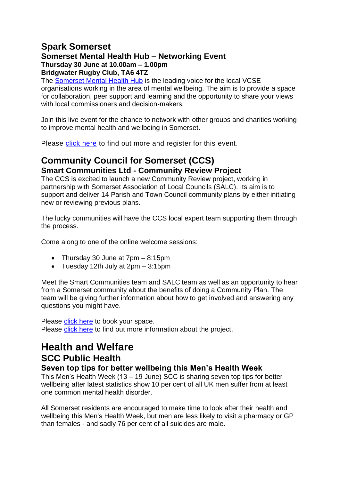## **Spark Somerset**

#### **Somerset Mental Health Hub – Networking Event Thursday 30 June at 10.00am – 1.00pm**

**Bridgwater Rugby Club, TA6 4TZ**

The [Somerset Mental Health Hub](https://sparksomerset.org.uk/mental-health-hub) is the leading voice for the local VCSE organisations working in the area of mental wellbeing. The aim is to provide a space for collaboration, peer support and learning and the opportunity to share your views with local commissioners and decision-makers.

Join this live event for the chance to network with other groups and charities working to improve mental health and wellbeing in Somerset.

Please [click here](https://www.eventbrite.co.uk/e/somerset-mental-health-hub-networking-event-tickets-328913437947) to find out more and register for this event.

## **Community Council for Somerset (CCS) Smart Communities Ltd - Community Review Project**

The CCS is excited to launch a new Community Review project, working in partnership with Somerset Association of Local Councils (SALC). Its aim is to support and deliver 14 Parish and Town Council community plans by either initiating new or reviewing previous plans.

The lucky communities will have the CCS local expert team supporting them through the process.

Come along to one of the online welcome sessions:

- Thursday 30 June at 7pm 8:15pm
- Tuesday 12th July at 2pm 3:15pm

Meet the Smart Communities team and SALC team as well as an opportunity to hear from a Somerset community about the benefits of doing a Community Plan. The team will be giving further information about how to get involved and answering any questions you might have.

Please [click here](https://www.eventbrite.com/o/smart-communities-36080355843?fbclid=IwAR2K_dvA0X1TDwwOEr881TaRxpXRrpuZ9faTkCWgamLKP_DFORTxUjj7X1A) to book your space.

Please [click here](https://smartcommunities.online/community-review/) to find out more information about the project.

# **Health and Welfare SCC Public Health**

#### **Seven top tips for better wellbeing this Men's Health Week**

This Men's Health Week (13 – 19 June) SCC is sharing seven top tips for better wellbeing after latest statistics show 10 per cent of all UK men suffer from at least one common mental health disorder.

All Somerset residents are encouraged to make time to look after their health and wellbeing this Men's Health Week, but men are less likely to visit a pharmacy or GP than females - and sadly 76 per cent of all suicides are male.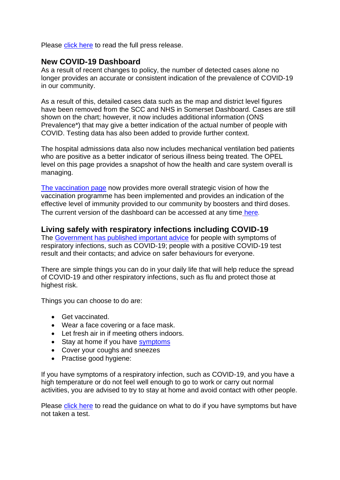Please [click here](https://somersetnewsroom.com/2022/06/13/seven-top-tips-for-better-wellbeing-this-mens-health-week/) to read the full press release.

## **New COVID-19 Dashboard**

As a result of recent changes to policy, the number of detected cases alone no longer provides an accurate or consistent indication of the prevalence of COVID-19 in our community.

As a result of this, detailed cases data such as the map and district level figures have been removed from the SCC and NHS in Somerset Dashboard. Cases are still shown on the chart; however, it now includes additional information (ONS Prevalence\*) that may give a better indication of the actual number of people with COVID. Testing data has also been added to provide further context.

The hospital admissions data also now includes mechanical ventilation bed patients who are positive as a better indicator of serious illness being treated. The OPEL level on this page provides a snapshot of how the health and care system overall is managing.

[The vaccination page](https://www.somerset.gov.uk/coronavirus/coronavirus-vaccinations/) now provides more overall strategic vision of how the vaccination programme has been implemented and provides an indication of the effective level of immunity provided to our community by boosters and third doses. The current version of the dashboard can be accessed at any time [here](https://www.somerset.gov.uk/covid-19-dashboard/).

## **Living safely with respiratory infections including COVID-19**

The [Government has published important advice](https://newsletters.onyx-sites.io/?mailpoet_router&endpoint=track&action=click&data=WyI2NjM2IiwidHRzeGVycTFtamtrY29nMGtvOGcwZ2trODRvZ2t3YzAiLCIxNDE5IiwiMTA5MGQ5NzhlMTg5IixmYWxzZV0) for people with symptoms of respiratory infections, such as COVID-19; people with a positive COVID-19 test result and their contacts; and advice on safer behaviours for everyone.

There are simple things you can do in your daily life that will help reduce the spread of COVID-19 and other respiratory infections, such as flu and protect those at highest risk.

Things you can choose to do are:

- Get vaccinated.
- Wear a face covering or a face mask.
- Let fresh air in if meeting others indoors.
- Stay at home if you have [symptoms](https://newsletters.onyx-sites.io/?mailpoet_router&endpoint=track&action=click&data=WyI1MjEiLCIxbWRhbWxvZnRhbjRnb2d3ODRrZ2s0azhzOHdzd3c0YyIsIjE0MTciLCI3MDMyNWYxYzNmODEiLGZhbHNlXQ)
- Cover your coughs and sneezes
- Practise good hygiene:

If you have symptoms of a respiratory infection, such as COVID-19, and you have a high temperature or do not feel well enough to go to work or carry out normal activities, you are advised to try to stay at home and avoid contact with other people.

Please [click here](https://www.gov.uk/guidance/people-with-symptoms-of-a-respiratory-infection-including-covid-19#what-to-do-if-you-have-symptoms-of-a-respiratory-infection-including-covid-19-and-have-not-taken-a-covid-19-test) to read the guidance on what to do if you have symptoms but have not taken a test.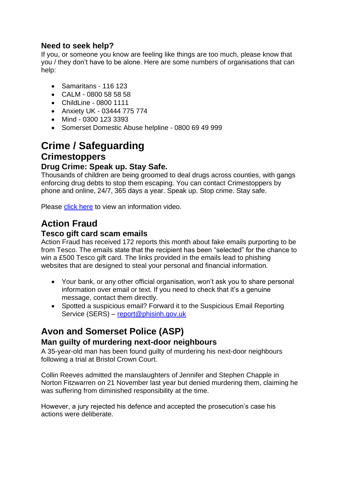## **Need to seek help?**

If you, or someone you know are feeling like things are too much, please know that you / they don't have to be alone. Here are some numbers of organisations that can help:

- Samaritans 116 123
- CALM 0800 58 58 58
- ChildLine 0800 1111
- Anxiety UK 03444 775 774
- Mind 0300 123 3393
- Somerset Domestic Abuse helpline 0800 69 49 999

# **Crime / Safeguarding Crimestoppers**

## **Drug Crime: Speak up. Stay Safe.**

Thousands of children are being groomed to deal drugs across counties, with gangs enforcing drug debts to stop them escaping. You can contact Crimestoppers by phone and online, 24/7, 365 days a year. Speak up. Stop crime. Stay safe.

Please [click here](https://www.youtube.com/watch?v=fACrIpKQ-m4) to view an information video.

## **Action Fraud**

## **Tesco gift card scam emails**

Action Fraud has received 172 reports this month about fake emails purporting to be from Tesco. The emails state that the recipient has been "selected" for the chance to win a £500 Tesco gift card. The links provided in the emails lead to phishing websites that are designed to steal your personal and financial information.

- Your bank, or any other official organisation, won't ask you to share personal information over email or text. If you need to check that it's a genuine message, contact them directly.
- Spotted a suspicious email? Forward it to the Suspicious Email Reporting Service (SERS) – [report@phisinh.gov.uk](mailto:report@phisinh.gov.uk)

## **Avon and Somerset Police (ASP)**

## **Man guilty of murdering next-door neighbours**

A 35-year-old man has been found guilty of murdering his next-door neighbours following a trial at Bristol Crown Court.

Collin Reeves admitted the manslaughters of Jennifer and Stephen Chapple in Norton Fitzwarren on 21 November last year but denied murdering them, claiming he was suffering from diminished responsibility at the time.

However, a jury rejected his defence and accepted the prosecution's case his actions were deliberate.